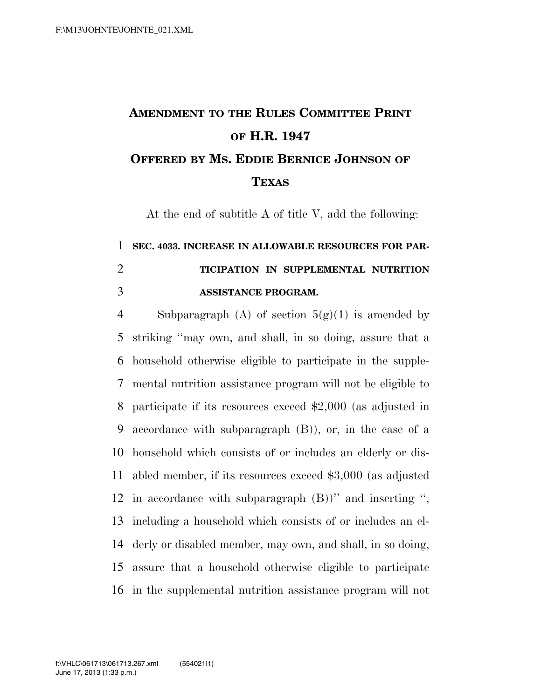## **AMENDMENT TO THE RULES COMMITTEE PRINT OF H.R. 1947 OFFERED BY MS. EDDIE BERNICE JOHNSON OF TEXAS**

At the end of subtitle A of title V, add the following:

## **SEC. 4033. INCREASE IN ALLOWABLE RESOURCES FOR PAR- TICIPATION IN SUPPLEMENTAL NUTRITION ASSISTANCE PROGRAM.**

4 Subparagraph (A) of section  $5(g)(1)$  is amended by striking ''may own, and shall, in so doing, assure that a household otherwise eligible to participate in the supple- mental nutrition assistance program will not be eligible to participate if its resources exceed \$2,000 (as adjusted in accordance with subparagraph (B)), or, in the case of a household which consists of or includes an elderly or dis- abled member, if its resources exceed \$3,000 (as adjusted in accordance with subparagraph (B))'' and inserting '', including a household which consists of or includes an el- derly or disabled member, may own, and shall, in so doing, assure that a household otherwise eligible to participate in the supplemental nutrition assistance program will not